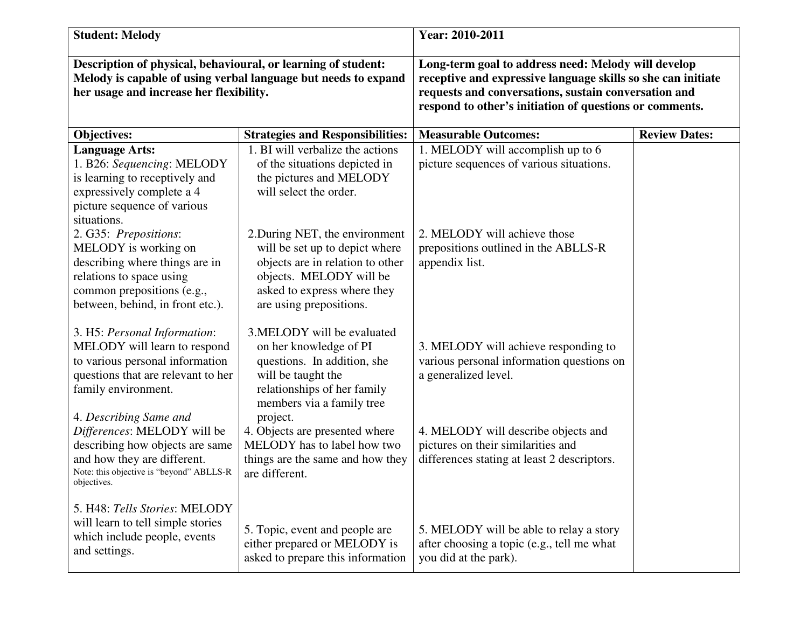| <b>Student: Melody</b>                                                                                                                                                                 |                                                                                                                                                                                           | Year: 2010-2011                                                                                                                                                                                                                        |                      |
|----------------------------------------------------------------------------------------------------------------------------------------------------------------------------------------|-------------------------------------------------------------------------------------------------------------------------------------------------------------------------------------------|----------------------------------------------------------------------------------------------------------------------------------------------------------------------------------------------------------------------------------------|----------------------|
| Description of physical, behavioural, or learning of student:<br>Melody is capable of using verbal language but needs to expand<br>her usage and increase her flexibility.             |                                                                                                                                                                                           | Long-term goal to address need: Melody will develop<br>receptive and expressive language skills so she can initiate<br>requests and conversations, sustain conversation and<br>respond to other's initiation of questions or comments. |                      |
| <b>Objectives:</b>                                                                                                                                                                     | <b>Strategies and Responsibilities:</b>                                                                                                                                                   | <b>Measurable Outcomes:</b>                                                                                                                                                                                                            | <b>Review Dates:</b> |
| <b>Language Arts:</b><br>1. B26: Sequencing: MELODY<br>is learning to receptively and<br>expressively complete a 4<br>picture sequence of various<br>situations.                       | 1. BI will verbalize the actions<br>of the situations depicted in<br>the pictures and MELODY<br>will select the order.                                                                    | 1. MELODY will accomplish up to 6<br>picture sequences of various situations.                                                                                                                                                          |                      |
| 2. G35: Prepositions:<br>MELODY is working on<br>describing where things are in<br>relations to space using<br>common prepositions (e.g.,<br>between, behind, in front etc.).          | 2. During NET, the environment<br>will be set up to depict where<br>objects are in relation to other<br>objects. MELODY will be<br>asked to express where they<br>are using prepositions. | 2. MELODY will achieve those<br>prepositions outlined in the ABLLS-R<br>appendix list.                                                                                                                                                 |                      |
| 3. H5: Personal Information:<br>MELODY will learn to respond<br>to various personal information<br>questions that are relevant to her<br>family environment.<br>4. Describing Same and | 3.MELODY will be evaluated<br>on her knowledge of PI<br>questions. In addition, she<br>will be taught the<br>relationships of her family<br>members via a family tree<br>project.         | 3. MELODY will achieve responding to<br>various personal information questions on<br>a generalized level.                                                                                                                              |                      |
| Differences: MELODY will be<br>describing how objects are same<br>and how they are different.<br>Note: this objective is "beyond" ABLLS-R<br>objectives.                               | 4. Objects are presented where<br>MELODY has to label how two<br>things are the same and how they<br>are different.                                                                       | 4. MELODY will describe objects and<br>pictures on their similarities and<br>differences stating at least 2 descriptors.                                                                                                               |                      |
| 5. H48: Tells Stories: MELODY<br>will learn to tell simple stories<br>which include people, events<br>and settings.                                                                    | 5. Topic, event and people are<br>either prepared or MELODY is<br>asked to prepare this information                                                                                       | 5. MELODY will be able to relay a story<br>after choosing a topic (e.g., tell me what<br>you did at the park).                                                                                                                         |                      |